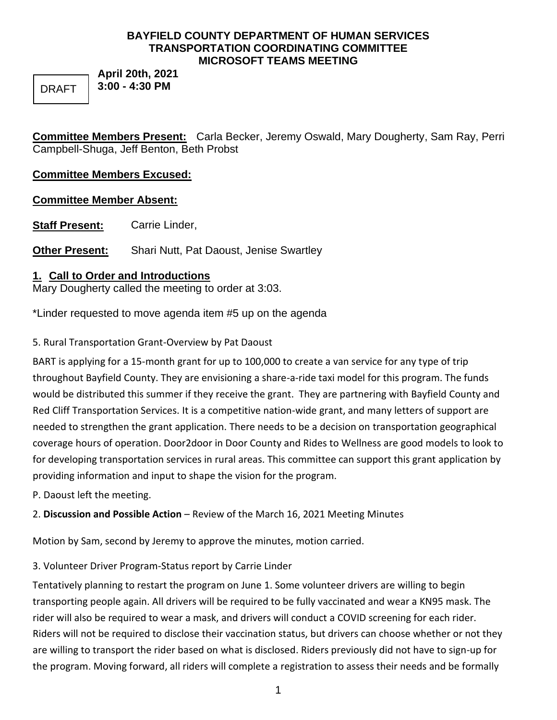### **BAYFIELD COUNTY DEPARTMENT OF HUMAN SERVICES TRANSPORTATION COORDINATING COMMITTEE MICROSOFT TEAMS MEETING**

DRAFT

**April 20th, 2021 3:00 - 4:30 PM**

**Committee Members Present:** Carla Becker, Jeremy Oswald, Mary Dougherty, Sam Ray, Perri Campbell-Shuga, Jeff Benton, Beth Probst

# **Committee Members Excused:**

# **Committee Member Absent:**

**Staff Present:** Carrie Linder,

**Other Present:** Shari Nutt, Pat Daoust, Jenise Swartley

# **1. Call to Order and Introductions**

Mary Dougherty called the meeting to order at 3:03.

\*Linder requested to move agenda item #5 up on the agenda

5. Rural Transportation Grant-Overview by Pat Daoust

BART is applying for a 15-month grant for up to 100,000 to create a van service for any type of trip throughout Bayfield County. They are envisioning a share-a-ride taxi model for this program. The funds would be distributed this summer if they receive the grant. They are partnering with Bayfield County and Red Cliff Transportation Services. It is a competitive nation-wide grant, and many letters of support are needed to strengthen the grant application. There needs to be a decision on transportation geographical coverage hours of operation. Door2door in Door County and Rides to Wellness are good models to look to for developing transportation services in rural areas. This committee can support this grant application by providing information and input to shape the vision for the program.

P. Daoust left the meeting.

2. **Discussion and Possible Action** – Review of the March 16, 2021 Meeting Minutes

Motion by Sam, second by Jeremy to approve the minutes, motion carried.

3. Volunteer Driver Program-Status report by Carrie Linder

Tentatively planning to restart the program on June 1. Some volunteer drivers are willing to begin transporting people again. All drivers will be required to be fully vaccinated and wear a KN95 mask. The rider will also be required to wear a mask, and drivers will conduct a COVID screening for each rider. Riders will not be required to disclose their vaccination status, but drivers can choose whether or not they are willing to transport the rider based on what is disclosed. Riders previously did not have to sign-up for the program. Moving forward, all riders will complete a registration to assess their needs and be formally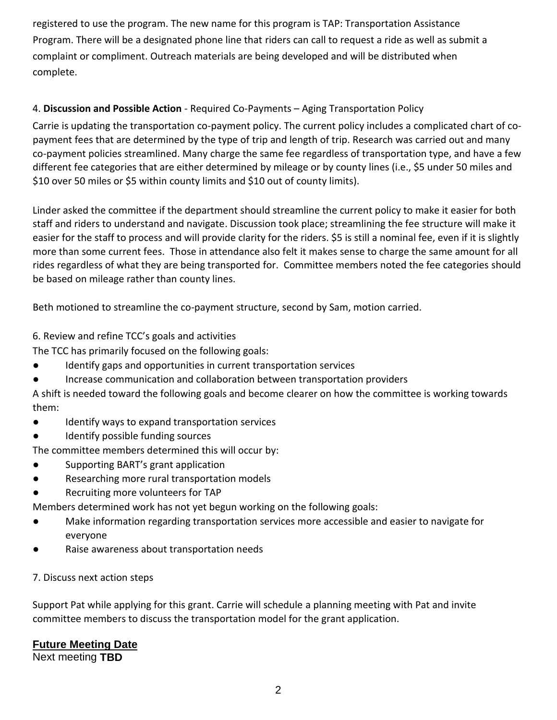registered to use the program. The new name for this program is TAP: Transportation Assistance Program. There will be a designated phone line that riders can call to request a ride as well as submit a complaint or compliment. Outreach materials are being developed and will be distributed when complete.

## 4. **Discussion and Possible Action** - Required Co-Payments – Aging Transportation Policy

Carrie is updating the transportation co-payment policy. The current policy includes a complicated chart of copayment fees that are determined by the type of trip and length of trip. Research was carried out and many co-payment policies streamlined. Many charge the same fee regardless of transportation type, and have a few different fee categories that are either determined by mileage or by county lines (i.e., \$5 under 50 miles and \$10 over 50 miles or \$5 within county limits and \$10 out of county limits).

Linder asked the committee if the department should streamline the current policy to make it easier for both staff and riders to understand and navigate. Discussion took place; streamlining the fee structure will make it easier for the staff to process and will provide clarity for the riders. \$5 is still a nominal fee, even if it is slightly more than some current fees. Those in attendance also felt it makes sense to charge the same amount for all rides regardless of what they are being transported for. Committee members noted the fee categories should be based on mileage rather than county lines.

Beth motioned to streamline the co-payment structure, second by Sam, motion carried.

6. Review and refine TCC's goals and activities

The TCC has primarily focused on the following goals:

- Identify gaps and opportunities in current transportation services
- Increase communication and collaboration between transportation providers

A shift is needed toward the following goals and become clearer on how the committee is working towards them:

- Identify ways to expand transportation services
- Identify possible funding sources

The committee members determined this will occur by:

- Supporting BART's grant application
- Researching more rural transportation models
- Recruiting more volunteers for TAP

Members determined work has not yet begun working on the following goals:

- Make information regarding transportation services more accessible and easier to navigate for everyone
- Raise awareness about transportation needs

#### 7. Discuss next action steps

Support Pat while applying for this grant. Carrie will schedule a planning meeting with Pat and invite committee members to discuss the transportation model for the grant application.

## **Future Meeting Date**

Next meeting **TBD**